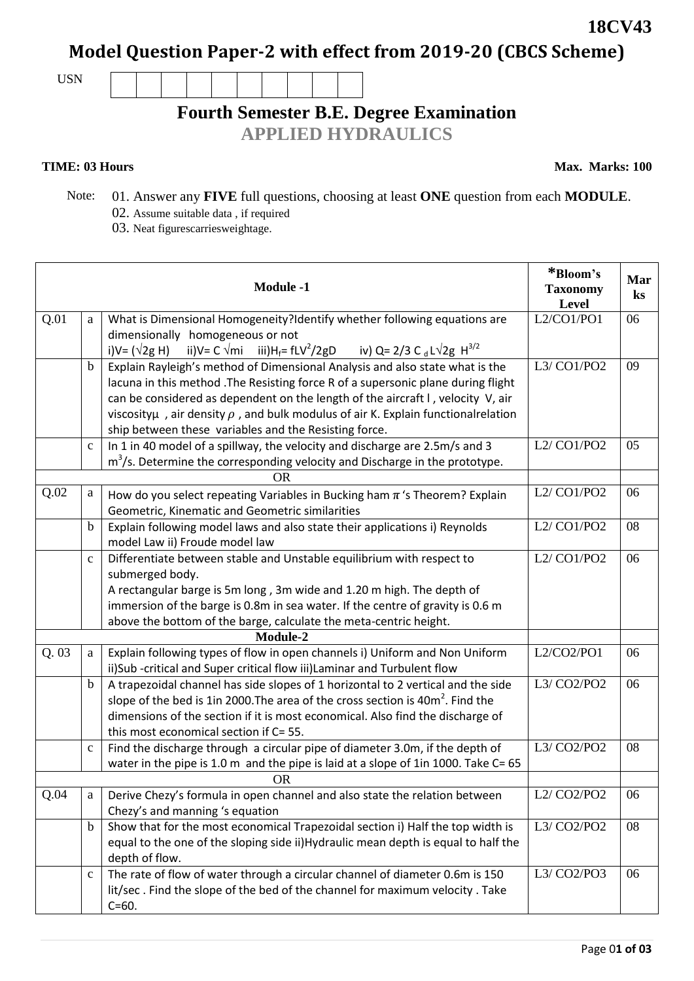**Model Question Paper-2 with effect from 2019-20 (CBCS Scheme)**

USN

# **Fourth Semester B.E. Degree Examination**

**APPLIED HYDRAULICS**

**TIME: 03 Hours** Max. Marks: 100

- Note: 01. Answer any **FIVE** full questions, choosing at least **ONE** question from each **MODULE**.
	- 02. Assume suitable data, if required  $\frac{02}{12}$ . Next figures equivalently respectively.  $03$ . Neat fig

| U. Neat higurescarries weightage. |
|-----------------------------------|
|                                   |

| <b>Module -1</b> |              |                                                                                                                                                    | *Bloom's<br><b>Taxonomy</b><br>Level | Mar<br>$\bf ks$ |
|------------------|--------------|----------------------------------------------------------------------------------------------------------------------------------------------------|--------------------------------------|-----------------|
| Q.01             | a            | What is Dimensional Homogeneity?Identify whether following equations are                                                                           | L2/CO1/PO1                           | 06              |
|                  |              | dimensionally homogeneous or not                                                                                                                   |                                      |                 |
|                  |              | ii)V= C $\sqrt{m}$ i iii)H <sub>f</sub> = fLV <sup>2</sup> /2gD iv) Q= 2/3 C <sub>d</sub> L $\sqrt{2g}$ H <sup>3/2</sup><br>i)V= ( $\sqrt{2}$ g H) |                                      |                 |
|                  | b            | Explain Rayleigh's method of Dimensional Analysis and also state what is the                                                                       | L3/ CO1/PO2                          | 09              |
|                  |              | lacuna in this method . The Resisting force R of a supersonic plane during flight                                                                  |                                      |                 |
|                  |              | can be considered as dependent on the length of the aircraft I, velocity V, air                                                                    |                                      |                 |
|                  |              | viscosity $\mu$ , air density $\rho$ , and bulk modulus of air K. Explain functional relation                                                      |                                      |                 |
|                  |              | ship between these variables and the Resisting force.                                                                                              |                                      |                 |
|                  | $\mathbf{C}$ | In 1 in 40 model of a spillway, the velocity and discharge are 2.5m/s and 3                                                                        | L2/CO1/PO2                           | 05              |
|                  |              | $m3/s$ . Determine the corresponding velocity and Discharge in the prototype.                                                                      |                                      |                 |
|                  |              | <b>OR</b>                                                                                                                                          |                                      |                 |
| Q.02             | a            | How do you select repeating Variables in Bucking ham $\pi$ 's Theorem? Explain                                                                     | L2/CO1/PO2                           | 06              |
|                  |              | Geometric, Kinematic and Geometric similarities                                                                                                    |                                      |                 |
|                  | b            | Explain following model laws and also state their applications i) Reynolds                                                                         | L2/CO1/PO2                           | 08              |
|                  |              | model Law ii) Froude model law                                                                                                                     |                                      |                 |
|                  | $\mathbf{C}$ | Differentiate between stable and Unstable equilibrium with respect to                                                                              | L2/CO1/PO2                           | 06              |
|                  |              | submerged body.                                                                                                                                    |                                      |                 |
|                  |              | A rectangular barge is 5m long, 3m wide and 1.20 m high. The depth of                                                                              |                                      |                 |
|                  |              | immersion of the barge is 0.8m in sea water. If the centre of gravity is 0.6 m                                                                     |                                      |                 |
|                  |              | above the bottom of the barge, calculate the meta-centric height.                                                                                  |                                      |                 |
|                  |              | Module-2                                                                                                                                           |                                      |                 |
| Q.03             | a            | Explain following types of flow in open channels i) Uniform and Non Uniform                                                                        | $L2$ /CO2/PO1                        | 06              |
|                  |              | ii)Sub-critical and Super critical flow iii)Laminar and Turbulent flow                                                                             |                                      |                 |
|                  | b            | A trapezoidal channel has side slopes of 1 horizontal to 2 vertical and the side                                                                   | L3/CO2/PO2                           | 06              |
|                  |              | slope of the bed is 1in 2000. The area of the cross section is 40m <sup>2</sup> . Find the                                                         |                                      |                 |
|                  |              | dimensions of the section if it is most economical. Also find the discharge of                                                                     |                                      |                 |
|                  |              | this most economical section if C= 55.                                                                                                             |                                      |                 |
|                  | $\mathbf C$  | Find the discharge through a circular pipe of diameter 3.0m, if the depth of                                                                       | L3/ CO2/PO2                          | 08              |
|                  |              | water in the pipe is 1.0 m and the pipe is laid at a slope of 1in 1000. Take C= 65                                                                 |                                      |                 |
|                  |              | <b>OR</b>                                                                                                                                          |                                      |                 |
| Q.04             | a            | Derive Chezy's formula in open channel and also state the relation between                                                                         | L2/CO2/PO2                           | 06              |
|                  |              | Chezy's and manning 's equation                                                                                                                    |                                      |                 |
|                  | b            | Show that for the most economical Trapezoidal section i) Half the top width is                                                                     | L3/ CO2/PO2                          | 08              |
|                  |              | equal to the one of the sloping side ii)Hydraulic mean depth is equal to half the                                                                  |                                      |                 |
|                  |              | depth of flow.                                                                                                                                     |                                      |                 |
|                  | $\mathbf c$  | The rate of flow of water through a circular channel of diameter 0.6m is 150                                                                       | L3/ CO2/PO3                          | 06              |
|                  |              | lit/sec. Find the slope of the bed of the channel for maximum velocity. Take                                                                       |                                      |                 |
|                  |              | $C = 60.$                                                                                                                                          |                                      |                 |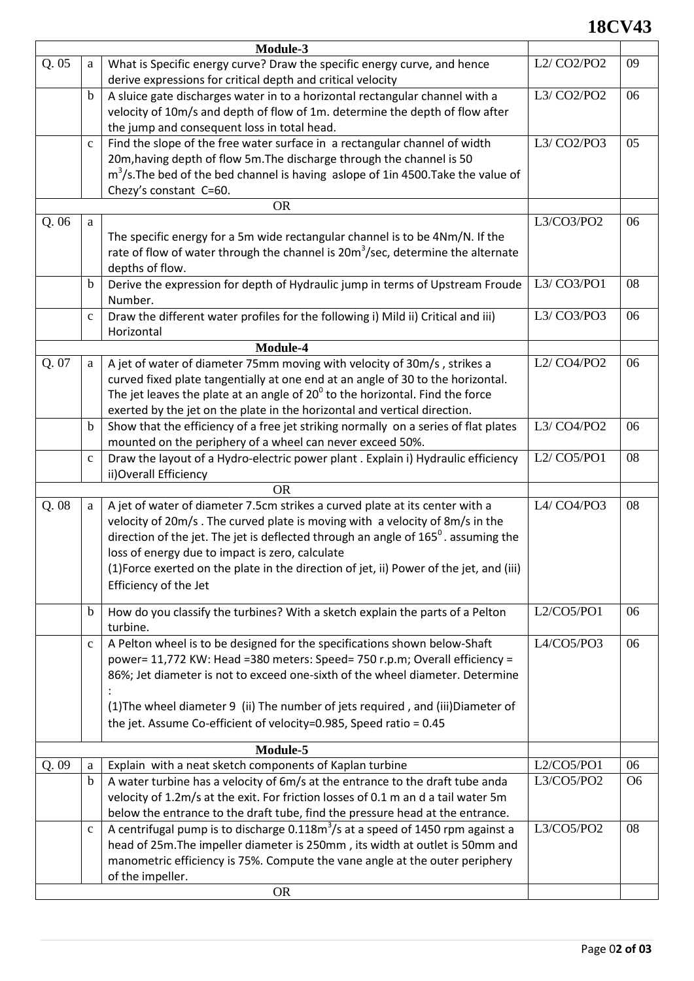## **18CV43**

| Module-3 |             |                                                                                                                                                                  |                                                   |                |
|----------|-------------|------------------------------------------------------------------------------------------------------------------------------------------------------------------|---------------------------------------------------|----------------|
| Q.05     | a           | What is Specific energy curve? Draw the specific energy curve, and hence<br>derive expressions for critical depth and critical velocity                          | L <sub>2</sub> / CO <sub>2</sub> /PO <sub>2</sub> | 09             |
|          | $\mathbf b$ | A sluice gate discharges water in to a horizontal rectangular channel with a<br>velocity of 10m/s and depth of flow of 1m. determine the depth of flow after     | L3/ CO2/PO2                                       | 06             |
|          |             | the jump and consequent loss in total head.                                                                                                                      |                                                   |                |
|          | $\mathbf c$ | Find the slope of the free water surface in a rectangular channel of width<br>20m, having depth of flow 5m. The discharge through the channel is 50              | L3/ CO2/PO3                                       | 05             |
|          |             | $m3/s$ . The bed of the bed channel is having aslope of 1in 4500. Take the value of                                                                              |                                                   |                |
|          |             | Chezy's constant C=60.                                                                                                                                           |                                                   |                |
|          |             | <b>OR</b>                                                                                                                                                        |                                                   |                |
| Q.06     | a           |                                                                                                                                                                  | L3/CO3/PO2                                        | 06             |
|          |             | The specific energy for a 5m wide rectangular channel is to be 4Nm/N. If the                                                                                     |                                                   |                |
|          |             | rate of flow of water through the channel is $20m3/sec$ , determine the alternate                                                                                |                                                   |                |
|          |             | depths of flow.                                                                                                                                                  |                                                   |                |
|          | $\mathbf b$ | Derive the expression for depth of Hydraulic jump in terms of Upstream Froude                                                                                    | L3/ CO3/PO1                                       | 08             |
|          |             | Number.                                                                                                                                                          |                                                   |                |
|          | $\mathbf c$ | Draw the different water profiles for the following i) Mild ii) Critical and iii)                                                                                | L3/ CO3/PO3                                       | 06             |
|          |             | Horizontal                                                                                                                                                       |                                                   |                |
|          |             | Module-4                                                                                                                                                         |                                                   |                |
| Q. 07    | a           | A jet of water of diameter 75mm moving with velocity of 30m/s, strikes a                                                                                         | L2/CO4/PO2                                        | 06             |
|          |             | curved fixed plate tangentially at one end at an angle of 30 to the horizontal.                                                                                  |                                                   |                |
|          |             | The jet leaves the plate at an angle of $20^{\circ}$ to the horizontal. Find the force                                                                           |                                                   |                |
|          | $\mathbf b$ | exerted by the jet on the plate in the horizontal and vertical direction.<br>Show that the efficiency of a free jet striking normally on a series of flat plates | L3/ CO4/PO2                                       | 06             |
|          |             | mounted on the periphery of a wheel can never exceed 50%.                                                                                                        |                                                   |                |
|          | $\mathbf c$ | Draw the layout of a Hydro-electric power plant . Explain i) Hydraulic efficiency                                                                                | L2/CO5/PO1                                        | 08             |
|          |             | ii) Overall Efficiency                                                                                                                                           |                                                   |                |
|          |             | <b>OR</b>                                                                                                                                                        |                                                   |                |
| Q.08     | a           | A jet of water of diameter 7.5cm strikes a curved plate at its center with a                                                                                     | L4/ CO4/PO3                                       | 08             |
|          |             | velocity of 20m/s. The curved plate is moving with a velocity of 8m/s in the                                                                                     |                                                   |                |
|          |             | direction of the jet. The jet is deflected through an angle of $165^{\circ}$ . assuming the                                                                      |                                                   |                |
|          |             | loss of energy due to impact is zero, calculate                                                                                                                  |                                                   |                |
|          |             | (1) Force exerted on the plate in the direction of jet, ii) Power of the jet, and (iii)                                                                          |                                                   |                |
|          |             | Efficiency of the Jet                                                                                                                                            |                                                   |                |
|          | $\mathbf b$ | How do you classify the turbines? With a sketch explain the parts of a Pelton                                                                                    | $L2$ /CO5/PO1                                     | 06             |
|          |             | turbine.                                                                                                                                                         |                                                   |                |
|          | $\mathbf c$ | A Pelton wheel is to be designed for the specifications shown below-Shaft                                                                                        | $L4$ /CO5/PO3                                     | 06             |
|          |             | power= 11,772 KW: Head =380 meters: Speed= 750 r.p.m; Overall efficiency =                                                                                       |                                                   |                |
|          |             | 86%; Jet diameter is not to exceed one-sixth of the wheel diameter. Determine                                                                                    |                                                   |                |
|          |             | (1) The wheel diameter 9 (ii) The number of jets required, and (iii) Diameter of                                                                                 |                                                   |                |
|          |             | the jet. Assume Co-efficient of velocity=0.985, Speed ratio = 0.45                                                                                               |                                                   |                |
|          |             |                                                                                                                                                                  |                                                   |                |
|          |             | Module-5                                                                                                                                                         |                                                   |                |
| Q.09     | a           | Explain with a neat sketch components of Kaplan turbine                                                                                                          | L2/CO5/PO1                                        | 06             |
|          | $\mathbf b$ | A water turbine has a velocity of 6m/s at the entrance to the draft tube anda                                                                                    | L3/CO5/PO2                                        | O <sub>6</sub> |
|          |             | velocity of 1.2m/s at the exit. For friction losses of 0.1 m an d a tail water 5m                                                                                |                                                   |                |
|          |             | below the entrance to the draft tube, find the pressure head at the entrance.                                                                                    |                                                   |                |
|          | $\mathbf c$ | A centrifugal pump is to discharge $0.118m3/s$ at a speed of 1450 rpm against a                                                                                  | L3/CO5/PO2                                        | 08             |
|          |             | head of 25m. The impeller diameter is 250mm, its width at outlet is 50mm and<br>manometric efficiency is 75%. Compute the vane angle at the outer periphery      |                                                   |                |
|          |             | of the impeller.                                                                                                                                                 |                                                   |                |
|          |             | <b>OR</b>                                                                                                                                                        |                                                   |                |